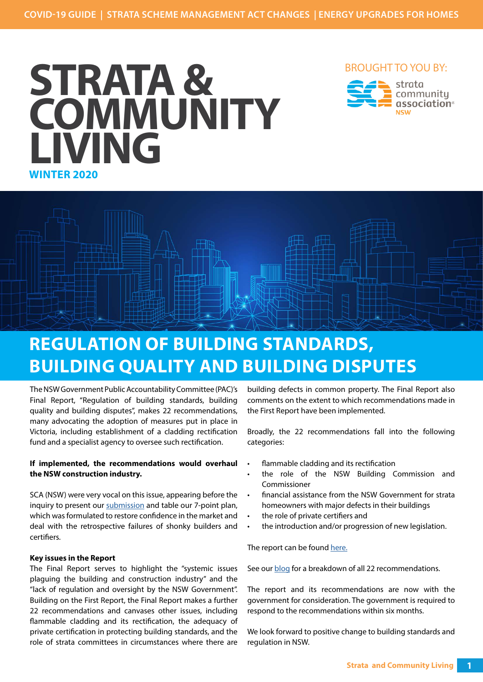

## BROUGHT TO YOU BY:





## **REGULATION OF BUILDING STANDARDS, BUILDING QUALITY AND BUILDING DISPUTES**

The NSW Government Public Accountability Committee (PAC)'s Final Report, "Regulation of building standards, building quality and building disputes", makes 22 recommendations, many advocating the adoption of measures put in place in Victoria, including establishment of a cladding rectification fund and a specialist agency to oversee such rectification.

## **If implemented, the recommendations would overhaul the NSW construction industry.**

SCA (NSW) were very vocal on this issue, appearing before the inquiry to present our [submission](https://www.parliament.nsw.gov.au/lcdocs/submissions/64256/0083 Strata Community Association NSW.pdf) and table our 7-point plan, which was formulated to restore confidence in the market and deal with the retrospective failures of shonky builders and certifiers.

## **Key issues in the Report**

The Final Report serves to highlight the "systemic issues plaguing the building and construction industry" and the "lack of regulation and oversight by the NSW Government". Building on the First Report, the Final Report makes a further 22 recommendations and canvases other issues, including flammable cladding and its rectification, the adequacy of private certification in protecting building standards, and the role of strata committees in circumstances where there are building defects in common property. The Final Report also comments on the extent to which recommendations made in the First Report have been implemented.

Broadly, the 22 recommendations fall into the following categories:

- flammable cladding and its rectification
- the role of the NSW Building Commission and Commissioner
- financial assistance from the NSW Government for strata homeowners with major defects in their buildings
- the role of private certifiers and
- the introduction and/or progression of new legislation.

The report can be found [here.](https://www.parliament.nsw.gov.au/committees/inquiries/Pages/inquiry-details.aspx?pk=2540)

See our [blog](https://nsw.strata.community/2020/05/regulation-building-standards-building-quality-building-disputes/) for a breakdown of all 22 recommendations.

The report and its recommendations are now with the government for consideration. The government is required to respond to the recommendations within six months.

We look forward to positive change to building standards and regulation in NSW.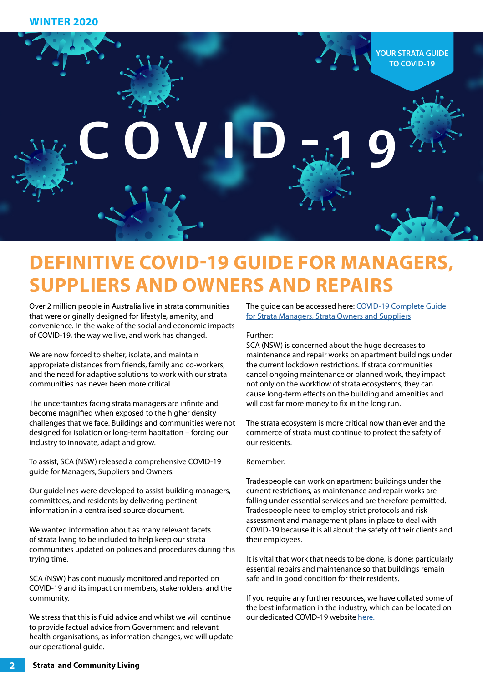

# **DEFINITIVE COVID-19 GUIDE FOR MANAGERS, SUPPLIERS AND OWNERS AND REPAIRS**

Over 2 million people in Australia live in strata communities that were originally designed for lifestyle, amenity, and convenience. In the wake of the social and economic impacts of COVID-19, the way we live, and work has changed.

We are now forced to shelter, isolate, and maintain appropriate distances from friends, family and co-workers, and the need for adaptive solutions to work with our strata communities has never been more critical.

challenges that we face. Buildings and communities were not The strata ecosystem is more critical now than ever and the<br>designed for isolation or long-term habitation – forcing our commerce of strata must continue to prote The uncertainties facing strata managers are infinite and become magnified when exposed to the higher density challenges that we face. Buildings and communities were not industry to innovate, adapt and grow.

**To assist, SCA (NSW) released a comprehensive COVID-19** Remember: guide for Managers, Suppliers and Owners.

Our guidelines were developed to assist building managers, committees, and residents by delivering pertinent information in a centralised source document.

We wanted information about as many relevant facets of strata living to be included to help keep our strata communities updated on policies and procedures during this trying time.

SCA (NSW) has continuously monitored and reported on COVID-19 and its impact on members, stakeholders, and the community.

We stress that this is fluid advice and whilst we will continue to provide factual advice from Government and relevant health organisations, as information changes, we will update our operational guide.

The guide can be accessed here: [COVID-19 Complete Guide](https://nsw.strata.community/wp-content/uploads/2020/04/COVID-19-COMPLETE-GUIDE-OWNER-SUPPLIER-AND-MANAGER-GUIDE_Final-230420.pdf)  [for Strata Managers, Strata Owners and Suppliers](https://nsw.strata.community/wp-content/uploads/2020/04/COVID-19-COMPLETE-GUIDE-OWNER-SUPPLIER-AND-MANAGER-GUIDE_Final-230420.pdf)

### Further:

helter, isolate, and maintain maintenance and repair works on ap<br>From friends, family and co-workers, the current lockdown restrictions. If<br>Eive solutions to work with our strata cancel ongoing maintenance or plan SCA (NSW) is concerned about the huge decreases to maintenance and repair works on apartment buildings under the current lockdown restrictions. If strata communities cancel ongoing maintenance or planned work, they impact not only on the workflow of strata ecosystems, they can cause long-term effects on the building and amenities and will cost far more money to fix in the long run.

> The strata ecosystem is more critical now than ever and the commerce of strata must continue to protect the safety of our residents.

#### Remember:

Tradespeople can work on apartment buildings under the current restrictions, as maintenance and repair works are falling under essential services and are therefore permitted. Tradespeople need to employ strict protocols and risk assessment and management plans in place to deal with COVID-19 because it is all about the safety of their clients and their employees.

It is vital that work that needs to be done, is done; particularly essential repairs and maintenance so that buildings remain safe and in good condition for their residents.

If you require any further resources, we have collated some of the best information in the industry, which can be located on our dedicated COVID-19 website [here.](https://nsw.strata.community/wp-content/uploads/2020/04/COVID-19-COMPLETE-GUIDE-OWNER-SUPPLIER-AND-MANAGER-GUIDE_Final-230420.pdf)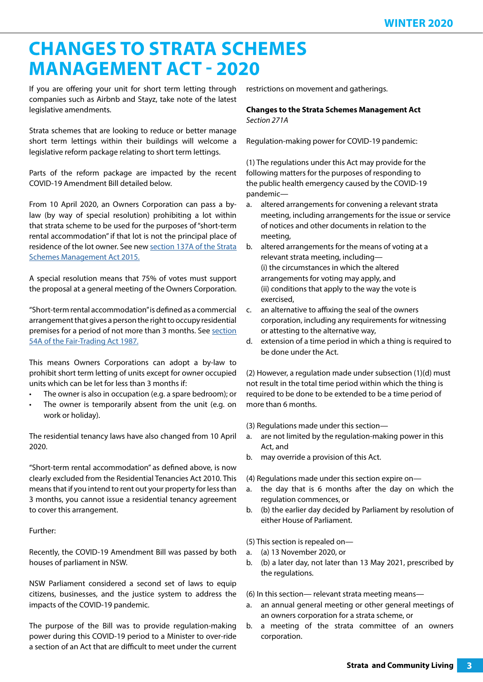## **CHANGES TO STRATA SCHEMES MANAGEMENT ACT - 2020**

If you are offering your unit for short term letting through companies such as Airbnb and Stayz, take note of the latest legislative amendments.

Strata schemes that are looking to reduce or better manage short term lettings within their buildings will welcome a legislative reform package relating to short term lettings.

Parts of the reform package are impacted by the recent COVID-19 Amendment Bill detailed below.

From 10 April 2020, an Owners Corporation can pass a bylaw (by way of special resolution) prohibiting a lot within that strata scheme to be used for the purposes of "short-term rental accommodation" if that lot is not the principal place of residence of the lot owner. See new [section 137A of the Strata](https://www.legislation.nsw.gov.au/#/view/act/2018/41/sch2)  [Schemes Management Act 2015.](https://www.legislation.nsw.gov.au/#/view/act/2018/41/sch2)

A special resolution means that 75% of votes must support the proposal at a general meeting of the Owners Corporation.

"Short-term rental accommodation" is defined as a commercial arrangement that gives a person the right to occupy residential premises for a period of not more than 3 months. See section [54A of the Fair-Trading Act 1987.](https://legislation.nsw.gov.au/#/view/act/2018/41/full)

This means Owners Corporations can adopt a by-law to prohibit short term letting of units except for owner occupied units which can be let for less than 3 months if:

- The owner is also in occupation (e.g. a spare bedroom); or
- The owner is temporarily absent from the unit (e.g. on work or holiday).

The residential tenancy laws have also changed from 10 April 2020.

"Short-term rental accommodation" as defined above, is now clearly excluded from the Residential Tenancies Act 2010. This means that if you intend to rent out your property for less than 3 months, you cannot issue a residential tenancy agreement to cover this arrangement.

## Further:

Recently, the COVID-19 Amendment Bill was passed by both houses of parliament in NSW.

NSW Parliament considered a second set of laws to equip citizens, businesses, and the justice system to address the impacts of the COVID-19 pandemic.

The purpose of the Bill was to provide regulation-making power during this COVID-19 period to a Minister to over-ride a section of an Act that are difficult to meet under the current restrictions on movement and gatherings.

**Changes to the Strata Schemes Management Act** *Section 271A*

Regulation-making power for COVID-19 pandemic:

(1) The regulations under this Act may provide for the following matters for the purposes of responding to the public health emergency caused by the COVID-19 pandemic—

- a. altered arrangements for convening a relevant strata meeting, including arrangements for the issue or service of notices and other documents in relation to the meeting,
- b. altered arrangements for the means of voting at a relevant strata meeting, including— (i) the circumstances in which the altered arrangements for voting may apply, and (ii) conditions that apply to the way the vote is exercised,
- c. an alternative to affixing the seal of the owners corporation, including any requirements for witnessing or attesting to the alternative way,
- d. extension of a time period in which a thing is required to be done under the Act.

(2) However, a regulation made under subsection (1)(d) must not result in the total time period within which the thing is required to be done to be extended to be a time period of more than 6 months.

(3) Regulations made under this section—

- a. are not limited by the regulation-making power in this Act, and
- b. may override a provision of this Act.

(4) Regulations made under this section expire on—

- a. the day that is 6 months after the day on which the regulation commences, or
- b. (b) the earlier day decided by Parliament by resolution of either House of Parliament.

(5) This section is repealed on—

- a. (a) 13 November 2020, or
- b. (b) a later day, not later than 13 May 2021, prescribed by the regulations.

(6) In this section— relevant strata meeting means—

- a. an annual general meeting or other general meetings of an owners corporation for a strata scheme, or
- b. a meeting of the strata committee of an owners corporation.